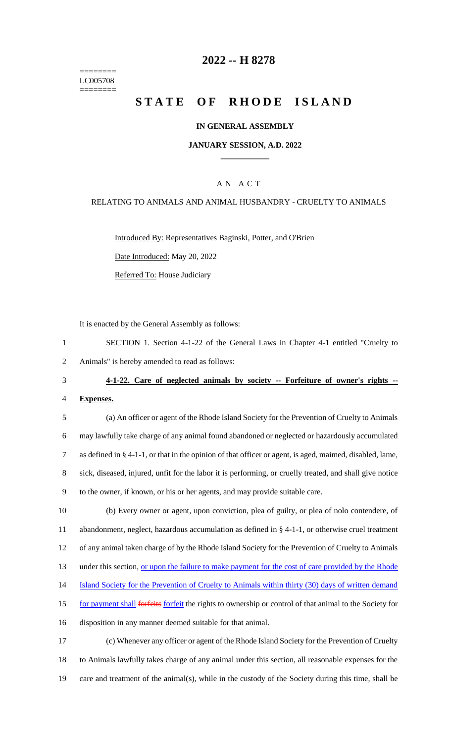======== LC005708 ========

## **2022 -- H 8278**

# **STATE OF RHODE ISLAND**

#### **IN GENERAL ASSEMBLY**

#### **JANUARY SESSION, A.D. 2022 \_\_\_\_\_\_\_\_\_\_\_\_**

### A N A C T

#### RELATING TO ANIMALS AND ANIMAL HUSBANDRY - CRUELTY TO ANIMALS

Introduced By: Representatives Baginski, Potter, and O'Brien Date Introduced: May 20, 2022

Referred To: House Judiciary

It is enacted by the General Assembly as follows:

| SECTION 1. Section 4-1-22 of the General Laws in Chapter 4-1 entitled "Cruelty to |
|-----------------------------------------------------------------------------------|
| 2 Animals" is hereby amended to read as follows:                                  |

3 **4-1-22. Care of neglected animals by society -- Forfeiture of owner's rights --**

4 **Expenses.**

 (a) An officer or agent of the Rhode Island Society for the Prevention of Cruelty to Animals may lawfully take charge of any animal found abandoned or neglected or hazardously accumulated as defined in § 4-1-1, or that in the opinion of that officer or agent, is aged, maimed, disabled, lame, sick, diseased, injured, unfit for the labor it is performing, or cruelly treated, and shall give notice to the owner, if known, or his or her agents, and may provide suitable care.

 (b) Every owner or agent, upon conviction, plea of guilty, or plea of nolo contendere, of abandonment, neglect, hazardous accumulation as defined in § 4-1-1, or otherwise cruel treatment of any animal taken charge of by the Rhode Island Society for the Prevention of Cruelty to Animals 13 under this section, <u>or upon the failure to make payment for the cost of care provided by the Rhode</u> 14 Island Society for the Prevention of Cruelty to Animals within thirty (30) days of written demand for payment shall forfeits forfeit the rights to ownership or control of that animal to the Society for disposition in any manner deemed suitable for that animal.

17 (c) Whenever any officer or agent of the Rhode Island Society for the Prevention of Cruelty 18 to Animals lawfully takes charge of any animal under this section, all reasonable expenses for the 19 care and treatment of the animal(s), while in the custody of the Society during this time, shall be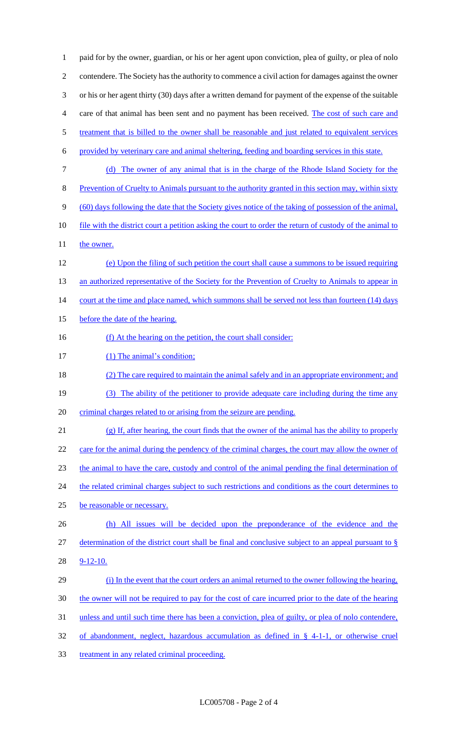1 paid for by the owner, guardian, or his or her agent upon conviction, plea of guilty, or plea of nolo 2 contendere. The Society has the authority to commence a civil action for damages against the owner 3 or his or her agent thirty (30) days after a written demand for payment of the expense of the suitable 4 care of that animal has been sent and no payment has been received. The cost of such care and 5 treatment that is billed to the owner shall be reasonable and just related to equivalent services 6 provided by veterinary care and animal sheltering, feeding and boarding services in this state. 7 (d) The owner of any animal that is in the charge of the Rhode Island Society for the 8 Prevention of Cruelty to Animals pursuant to the authority granted in this section may, within sixty 9 (60) days following the date that the Society gives notice of the taking of possession of the animal, 10 file with the district court a petition asking the court to order the return of custody of the animal to 11 the owner. 12 (e) Upon the filing of such petition the court shall cause a summons to be issued requiring 13 an authorized representative of the Society for the Prevention of Cruelty to Animals to appear in 14 court at the time and place named, which summons shall be served not less than fourteen (14) days 15 before the date of the hearing. 16 (f) At the hearing on the petition, the court shall consider: 17 (1) The animal's condition; 18 (2) The care required to maintain the animal safely and in an appropriate environment; and 19 (3) The ability of the petitioner to provide adequate care including during the time any 20 criminal charges related to or arising from the seizure are pending. 21 (g) If, after hearing, the court finds that the owner of the animal has the ability to properly 22 care for the animal during the pendency of the criminal charges, the court may allow the owner of 23 the animal to have the care, custody and control of the animal pending the final determination of 24 the related criminal charges subject to such restrictions and conditions as the court determines to 25 be reasonable or necessary. 26 (h) All issues will be decided upon the preponderance of the evidence and the 27 determination of the district court shall be final and conclusive subject to an appeal pursuant to § 28 9-12-10. 29 (i) In the event that the court orders an animal returned to the owner following the hearing, 30 the owner will not be required to pay for the cost of care incurred prior to the date of the hearing 31 unless and until such time there has been a conviction, plea of guilty, or plea of nolo contendere, 32 of abandonment, neglect, hazardous accumulation as defined in § 4-1-1, or otherwise cruel 33 treatment in any related criminal proceeding.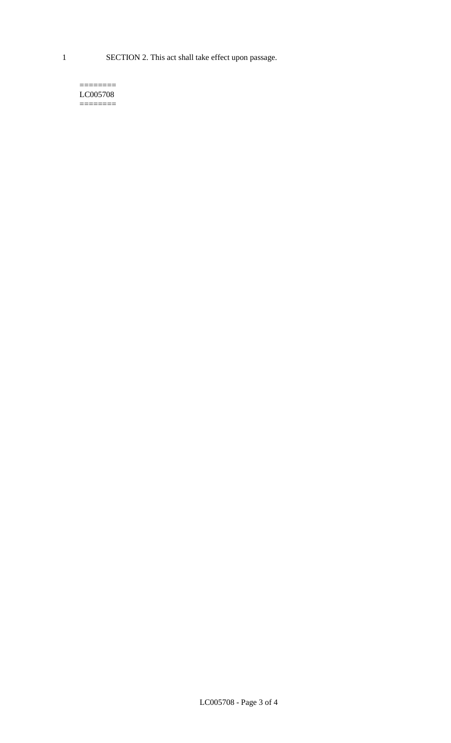1 SECTION 2. This act shall take effect upon passage.

 $=$ LC005708 ========